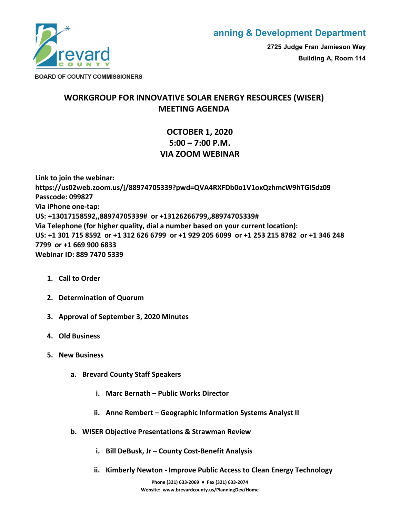

## **anning & Development Department**

**2725 Judge Fran Jamieson Way Building A, Room 114**

**BOARD OF COUNTY COMMISSIONERS** 

## **WORKGROUP FOR INNOVATIVE SOLAR ENERGY RESOURCES (WISER) MEETING AGENDA**

## **OCTOBER 1, 2020 5:00 – 7:00 P.M. VIA ZOOM WEBINAR**

**Link to join the webinar: https://us02web.zoom.us/j/88974705339?pwd=QVA4RXFDb0o1V1oxQzhmcW9hTGI5dz09 Passcode: 099827 Via iPhone one-tap: US: +13017158592,,88974705339# or +13126266799,,88974705339# Via Telephone (for higher quality, dial a number based on your current location): US: +1 301 715 8592 or +1 312 626 6799 or +1 929 205 6099 or +1 253 215 8782 or +1 346 248 7799 or +1 669 900 6833 Webinar ID: 889 7470 5339**

- **1. Call to Order**
- **2. Determination of Quorum**
- **3. Approval of September 3, 2020 Minutes**
- **4. Old Business**
- **5. New Business**
	- **a. Brevard County Staff Speakers**
		- **i. Marc Bernath Public Works Director**
		- **ii. Anne Rembert Geographic Information Systems Analyst II**
	- **b. WISER Objective Presentations & Strawman Review**
		- **i. Bill DeBusk, Jr County Cost-Benefit Analysis**
		- **ii. Kimberly Newton Improve Public Access to Clean Energy Technology**